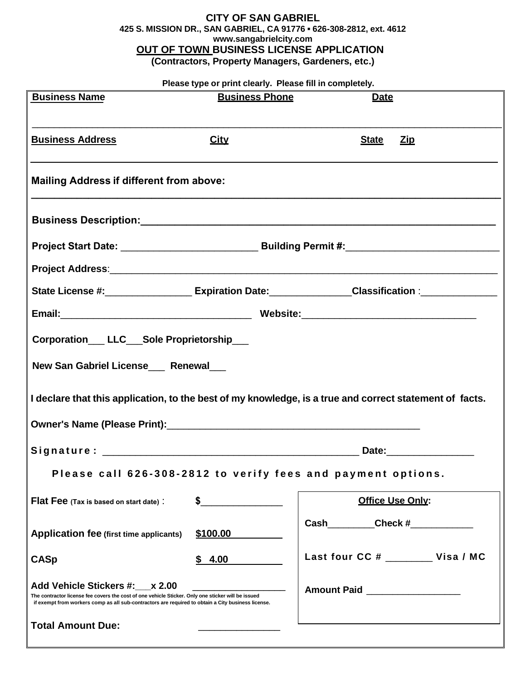## **CITY OF SAN GABRIEL 425 S. MISSION DR., SAN GABRIEL, CA 91776 ▪ 626-308-2812, ext. 4612 [www.sangabrielcity.com](http://www.sangabrielcity.com/) OUT OF TOWN BUSINESS LICENSE APPLICATION (Contractors, Property Managers, Gardeners, etc.)**

## **Please type or print clearly. Please fill in completely.**

|                                                                                                                                                                                                                                            | <b>Business Phone</b> | <b>Date</b>                                                                                                                                                                                                                          |  |  |  |  |
|--------------------------------------------------------------------------------------------------------------------------------------------------------------------------------------------------------------------------------------------|-----------------------|--------------------------------------------------------------------------------------------------------------------------------------------------------------------------------------------------------------------------------------|--|--|--|--|
| <b>Business Address</b>                                                                                                                                                                                                                    | <b>City</b>           | <b>State</b><br><u>Zip</u>                                                                                                                                                                                                           |  |  |  |  |
| <b>Mailing Address if different from above:</b>                                                                                                                                                                                            |                       |                                                                                                                                                                                                                                      |  |  |  |  |
|                                                                                                                                                                                                                                            |                       |                                                                                                                                                                                                                                      |  |  |  |  |
|                                                                                                                                                                                                                                            |                       |                                                                                                                                                                                                                                      |  |  |  |  |
|                                                                                                                                                                                                                                            |                       | Project Address: <b>with a contract a contract of the contract of the contract of the contract of the contract of the contract of the contract of the contract of the contract of the contract of the contract of the contract o</b> |  |  |  |  |
|                                                                                                                                                                                                                                            |                       | State License #: ______________________ Expiration Date: _______________Classification :__________________                                                                                                                           |  |  |  |  |
|                                                                                                                                                                                                                                            |                       |                                                                                                                                                                                                                                      |  |  |  |  |
| New San Gabriel License Renewal                                                                                                                                                                                                            |                       |                                                                                                                                                                                                                                      |  |  |  |  |
|                                                                                                                                                                                                                                            |                       | I declare that this application, to the best of my knowledge, is a true and correct statement of facts.                                                                                                                              |  |  |  |  |
|                                                                                                                                                                                                                                            |                       |                                                                                                                                                                                                                                      |  |  |  |  |
|                                                                                                                                                                                                                                            |                       | Please call 626-308-2812 to verify fees and payment options.                                                                                                                                                                         |  |  |  |  |
| Flat Fee (Tax is based on start date):                                                                                                                                                                                                     |                       | Office Use Only:                                                                                                                                                                                                                     |  |  |  |  |
| <b>Application fee (first time applicants)</b>                                                                                                                                                                                             | \$100.00              | Cash Check #                                                                                                                                                                                                                         |  |  |  |  |
| <b>CASp</b>                                                                                                                                                                                                                                | 4.00<br>\$            | Last four CC # Visa / MC                                                                                                                                                                                                             |  |  |  |  |
| Add Vehicle Stickers #: x 2.00<br>The contractor license fee covers the cost of one vehicle Sticker. Only one sticker will be issued<br>if exempt from workers comp as all sub-contractors are required to obtain a City business license. |                       | Amount Paid __________________                                                                                                                                                                                                       |  |  |  |  |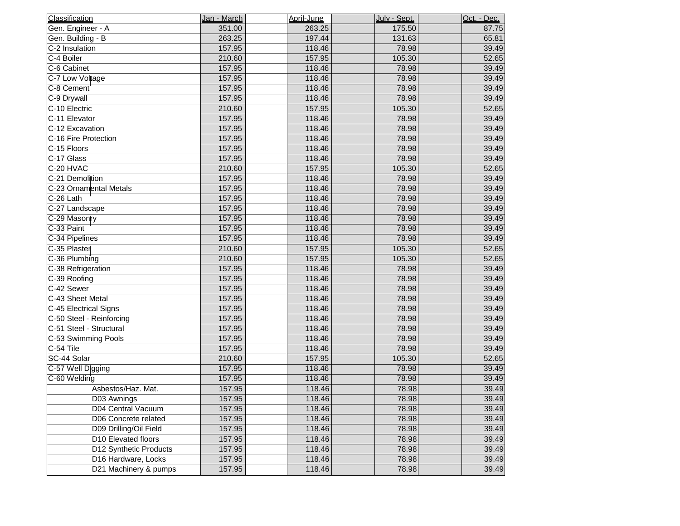| Classification           | Jan - March | April-June | July - Sept. | Oct. - Dec. |
|--------------------------|-------------|------------|--------------|-------------|
| Gen. Engineer - A        | 351.00      | 263.25     | 175.50       | 87.75       |
| Gen. Building - B        | 263.25      | 197.44     | 131.63       | 65.81       |
| C-2 Insulation           | 157.95      | 118.46     | 78.98        | 39.49       |
| C-4 Boiler               | 210.60      | 157.95     | 105.30       | 52.65       |
| C-6 Cabinet              | 157.95      | 118.46     | 78.98        | 39.49       |
| C-7 Low Voltage          | 157.95      | 118.46     | 78.98        | 39.49       |
| C-8 Cement               | 157.95      | 118.46     | 78.98        | 39.49       |
| C-9 Drywall              | 157.95      | 118.46     | 78.98        | 39.49       |
| C-10 Electric            | 210.60      | 157.95     | 105.30       | 52.65       |
| C-11 Elevator            | 157.95      | 118.46     | 78.98        | 39.49       |
| C-12 Excavation          | 157.95      | 118.46     | 78.98        | 39.49       |
| C-16 Fire Protection     | 157.95      | 118.46     | 78.98        | 39.49       |
| C-15 Floors              | 157.95      | 118.46     | 78.98        | 39.49       |
| C-17 Glass               | 157.95      | 118.46     | 78.98        | 39.49       |
| C-20 HVAC                | 210.60      | 157.95     | 105.30       | 52.65       |
| C-21 Demolition          | 157.95      | 118.46     | 78.98        | 39.49       |
| C-23 Ornamental Metals   | 157.95      | 118.46     | 78.98        | 39.49       |
| C-26 Lath                | 157.95      | 118.46     | 78.98        | 39.49       |
| C-27 Landscape           | 157.95      | 118.46     | 78.98        | 39.49       |
| C-29 Masonry             | 157.95      | 118.46     | 78.98        | 39.49       |
| C-33 Paint               | 157.95      | 118.46     | 78.98        | 39.49       |
| C-34 Pipelines           | 157.95      | 118.46     | 78.98        | 39.49       |
| C-35 Plaster             | 210.60      | 157.95     | 105.30       | 52.65       |
| C-36 Plumbing            | 210.60      | 157.95     | 105.30       | 52.65       |
| C-38 Refrigeration       | 157.95      | 118.46     | 78.98        | 39.49       |
| C-39 Roofing             | 157.95      | 118.46     | 78.98        | 39.49       |
| C-42 Sewer               | 157.95      | 118.46     | 78.98        | 39.49       |
| C-43 Sheet Metal         | 157.95      | 118.46     | 78.98        | 39.49       |
| C-45 Electrical Signs    | 157.95      | 118.46     | 78.98        | 39.49       |
| C-50 Steel - Reinforcing | 157.95      | 118.46     | 78.98        | 39.49       |
| C-51 Steel - Structural  | 157.95      | 118.46     | 78.98        | 39.49       |
| C-53 Swimming Pools      | 157.95      | 118.46     | 78.98        | 39.49       |
| C-54 Tile                | 157.95      | 118.46     | 78.98        | 39.49       |
| SC-44 Solar              | 210.60      | 157.95     | 105.30       | 52.65       |
| C-57 Well Digging        | 157.95      | 118.46     | 78.98        | 39.49       |
| C-60 Welding             | 157.95      | 118.46     | 78.98        | 39.49       |
| Asbestos/Haz. Mat.       | 157.95      | 118.46     | 78.98        | 39.49       |
| D03 Awnings              | 157.95      | 118.46     | 78.98        | 39.49       |
| D04 Central Vacuum       | 157.95      | 118.46     | 78.98        | 39.49       |
| D06 Concrete related     | 157.95      | 118.46     | 78.98        | 39.49       |
| D09 Drilling/Oil Field   | 157.95      | 118.46     | 78.98        | 39.49       |
| D10 Elevated floors      | 157.95      | 118.46     | 78.98        | 39.49       |
| D12 Synthetic Products   | 157.95      | 118.46     | 78.98        | 39.49       |
| D16 Hardware, Locks      | 157.95      | 118.46     | 78.98        | 39.49       |
| D21 Machinery & pumps    | 157.95      | 118.46     | 78.98        | 39.49       |
|                          |             |            |              |             |